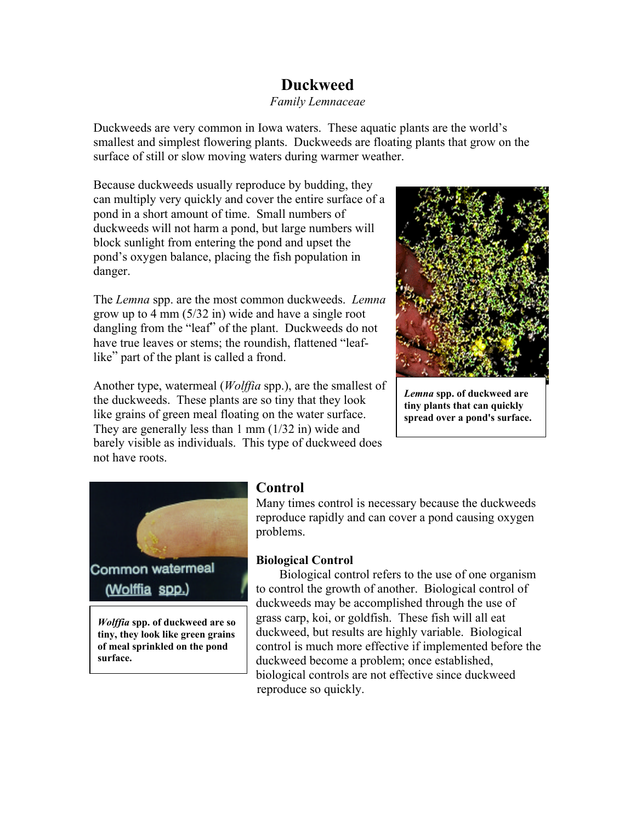# **Duckweed**

#### *Family Lemnaceae*

Duckweeds are very common in Iowa waters. These aquatic plants are the world's smallest and simplest flowering plants. Duckweeds are floating plants that grow on the surface of still or slow moving waters during warmer weather.

Because duckweeds usually reproduce by budding, they can multiply very quickly and cover the entire surface of a pond in a short amount of time. Small numbers of duckweeds will not harm a pond, but large numbers will block sunlight from entering the pond and upset the pond's oxygen balance, placing the fish population in danger.

The *Lemna* spp. are the most common duckweeds. *Lemna*  grow up to 4 mm (5/32 in) wide and have a single root dangling from the "leaf" of the plant. Duckweeds do not have true leaves or stems; the roundish, flattened "leaflike" part of the plant is called a frond.

Another type, watermeal (*Wolffia* spp.), are the smallest of the duckweeds. These plants are so tiny that they look like grains of green meal floating on the water surface. They are generally less than 1 mm (1/32 in) wide and barely visible as individuals. This type of duckweed does not have roots.



*Lemna* **spp. of duckweed are tiny plants that can quickly spread over a pond's surface.** 



*Wolffia* **spp. of duckweed are so tiny, they look like green grains of meal sprinkled on the pond surface.** 

## **Control**

Many times control is necessary because the duckweeds reproduce rapidly and can cover a pond causing oxygen problems.

### **Biological Control**

Biological control refers to the use of one organism to control the growth of another. Biological control of duckweeds may be accomplished through the use of grass carp, koi, or goldfish. These fish will all eat duckweed, but results are highly variable. Biological control is much more effective if implemented before the duckweed become a problem; once established, biological controls are not effective since duckweed reproduce so quickly.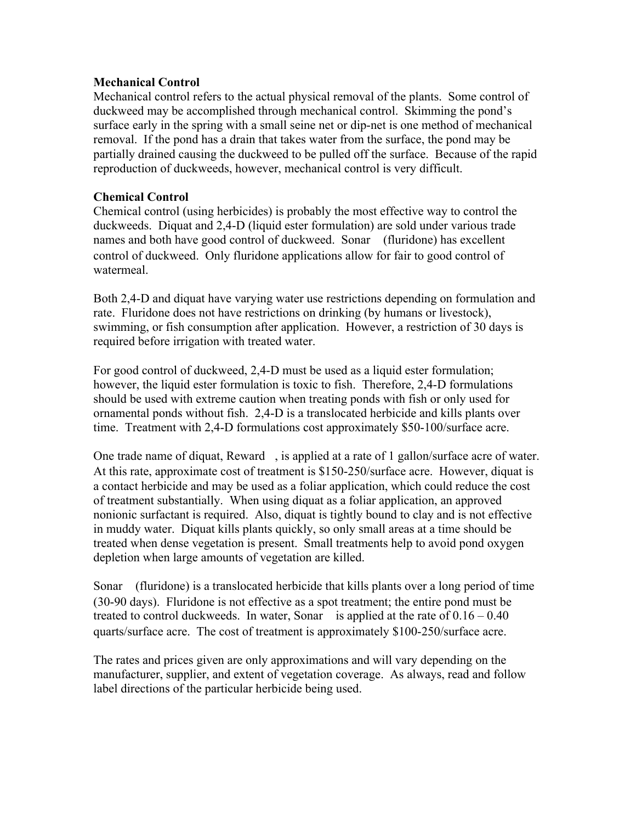### **Mechanical Control**

Mechanical control refers to the actual physical removal of the plants. Some control of duckweed may be accomplished through mechanical control. Skimming the pond's surface early in the spring with a small seine net or dip-net is one method of mechanical removal. If the pond has a drain that takes water from the surface, the pond may be partially drained causing the duckweed to be pulled off the surface. Because of the rapid reproduction of duckweeds, however, mechanical control is very difficult.

#### **Chemical Control**

Chemical control (using herbicides) is probably the most effective way to control the duckweeds. Diquat and 2,4-D (liquid ester formulation) are sold under various trade names and both have good control of duckweed. Sonar™ (fluridone) has excellent control of duckweed. Only fluridone applications allow for fair to good control of watermeal.

Both 2,4-D and diquat have varying water use restrictions depending on formulation and rate. Fluridone does not have restrictions on drinking (by humans or livestock), swimming, or fish consumption after application. However, a restriction of 30 days is required before irrigation with treated water.

For good control of duckweed, 2,4-D must be used as a liquid ester formulation; however, the liquid ester formulation is toxic to fish. Therefore, 2,4-D formulations should be used with extreme caution when treating ponds with fish or only used for ornamental ponds without fish. 2,4-D is a translocated herbicide and kills plants over time. Treatment with 2,4-D formulations cost approximately \$50-100/surface acre.

One trade name of diquat, Reward<sup>™</sup>, is applied at a rate of 1 gallon/surface acre of water. At this rate, approximate cost of treatment is \$150-250/surface acre. However, diquat is a contact herbicide and may be used as a foliar application, which could reduce the cost of treatment substantially. When using diquat as a foliar application, an approved nonionic surfactant is required. Also, diquat is tightly bound to clay and is not effective in muddy water. Diquat kills plants quickly, so only small areas at a time should be treated when dense vegetation is present. Small treatments help to avoid pond oxygen depletion when large amounts of vegetation are killed.

Sonar<sup> $\text{TM}$ </sup> (fluridone) is a translocated herbicide that kills plants over a long period of time (30-90 days). Fluridone is not effective as a spot treatment; the entire pond must be treated to control duckweeds. In water, Sonar<sup>™</sup> is applied at the rate of  $0.16 - 0.40$ quarts/surface acre. The cost of treatment is approximately \$100-250/surface acre.

The rates and prices given are only approximations and will vary depending on the manufacturer, supplier, and extent of vegetation coverage. As always, read and follow label directions of the particular herbicide being used.